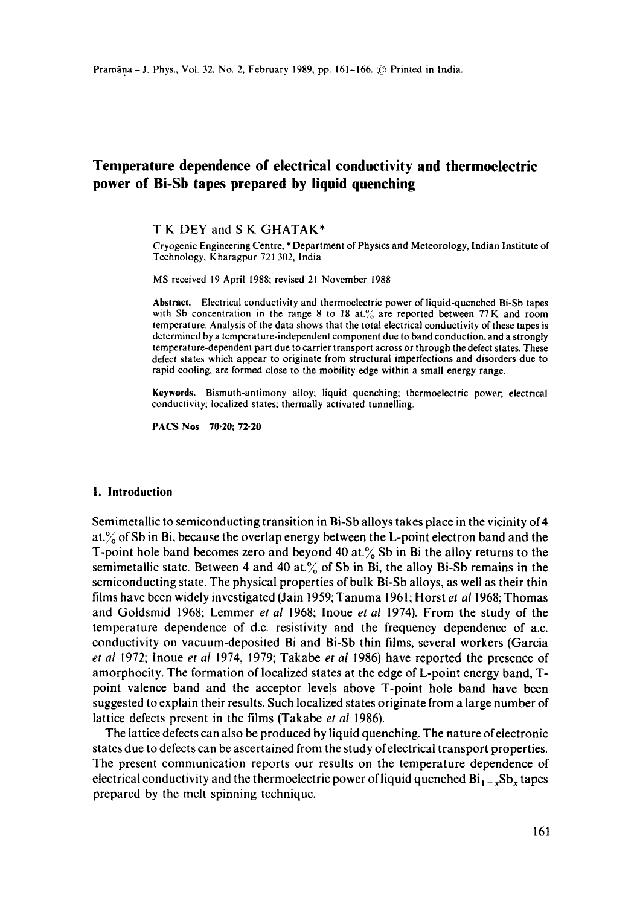# **Temperature dependence of electrical conductivity and thermoelectric power of Bi-Sb tapes prepared by liquid quenching**

### T K DEY and S K GHATAK\*

Cryogenic Engineering Centre, \* Department of Physics and Meteorology, Indian Institute of Technology, Kharagpur 721302, India

MS received 19 April 1988; revised 21 November 1988

Abstract. Electrical conductivity and thermoelectric power of liquid-quenched Bi-Sb tapes with Sb concentration in the range 8 to 18 at.% are reported between 77K and room temperature. Analysis of the data shows that the total electrical conductivity of these tapes is determined by a temperature-independent component due to band conduction, and a strongly temperature-dependent part due to carrier transport across or through the defect states. These defect states which appear to originate from structural imperfections and disorders due to rapid cooling, are formed close to the mobility edge within a small energy range.

**Keywords.** Bismuth-antimony alloy; liquid quenching; thermoelectric power; electrical conductivity; localized states; thermally activated tunnelling.

PACS Nos 70.20; 72-20

#### **I. Introduction**

Semimetallic to semiconducting transition in Bi-Sb alloys takes place in the vicinity of 4 at. $\%$  of Sb in Bi, because the overlap energy between the L-point electron band and the T-point hole band becomes zero and beyond 40 at. $\%$  Sb in Bi the alloy returns to the semimetallic state. Between 4 and 40 at. $\%$  of Sb in Bi, the alloy Bi-Sb remains in the semiconducting state. The physical properties of bulk Bi-Sb alloys, as well as their thin films have been widely investigated (Jain 1959; Tanuma 1961; Horst *et al* 1968; Thomas and Goldsmid 1968; Lemmer *et al* 1968; lnoue *et al* 1974). From the study of the temperature dependence of d.c. resistivity and the frequency dependence of a.c. conductivity on vacuum-deposited Bi and Bi-Sb thin films, several workers (Garcia *et al* 1972; lnoue *et al* 1974, 1979; Takabe *et al* 1986) have reported the presence of amorphocity. The formation of localized states at the edge of L-point energy band, Tpoint valence band and the acceptor levels above T-point hole band have been suggested to explain their results. Such localized states originate from a large number of lattice defects present in the films (Takabe *et al* 1986).

The lattice defects can also be produced by liquid quenching, The nature of electronic states due to defects can be ascertained from the study of electrical transport properties. The present communication reports our results on the temperature dependence of electrical conductivity and the thermoelectric power of liquid quenched  $Bi_{1-x}Sb_x$  tapes prepared by the melt spinning technique.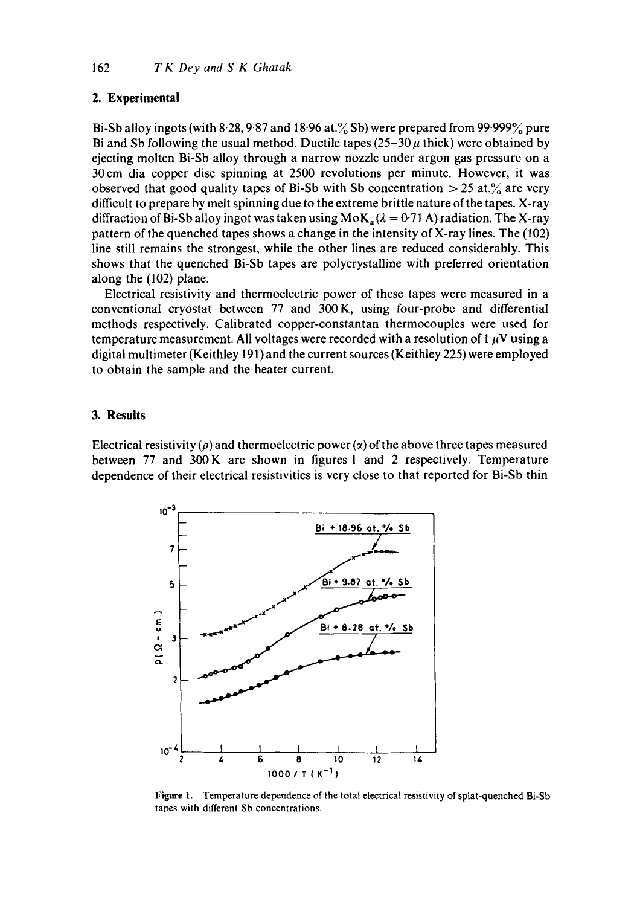## **2. Experimental**

Bi-Sb alloy ingots (with 8.28, 9.87 and 18.96 at. $\%$  Sb) were prepared from 99.999 $\%$  pure Bi and Sb following the usual method. Ductile tapes  $(25-30 \mu)$  thick) were obtained by ejecting molten Bi-Sb alloy through a narrow nozzle under argon gas pressure on a 30cm dia copper disc spinning at 2500 revolutions per minute. However, it was observed that good quality tapes of Bi-Sb with Sb concentration  $>$  25 at.% are very difficult to prepare by melt spinning due to the extreme brittle nature of the tapes. X-ray diffraction of Bi-Sb alloy ingot was taken using  $M \circ K_a(\lambda = 0.71 \text{ A})$  radiation. The X-ray pattern of the quenched tapes shows a change in the intensity of X-ray lines. The (102) line still remains the strongest, while the other lines are reduced considerably. This shows that the quenched Bi-Sb tapes are polycrystalline with preferred orientation along the (102) plane.

Electrical resistivity and thermoelectric power of these tapes were measured in a conventional cryostat between 77 and 300K, using four-probe and differential methods respectively. Calibrated copper-constantan thermocouples were used for temperature measurement. All voltages were recorded with a resolution of 1  $\mu$ V using a digital muitimeter (Keithley 191) and the current sources (Keithley 225) were employed to obtain the sample and the heater current.

# **3. Results**

Electrical resistivity ( $\rho$ ) and thermoelectric power ( $\alpha$ ) of the above three tapes measured between 77 and 300K are shown in figures 1 and 2 respectively. Temperature dependence of their electrical resistivities is very close to that reported for Bi-Sb thin



Figure 1. Temperature dependence of the total electrical resistivity of splat-quenched Bi-Sb tapes with different Sb concentrations.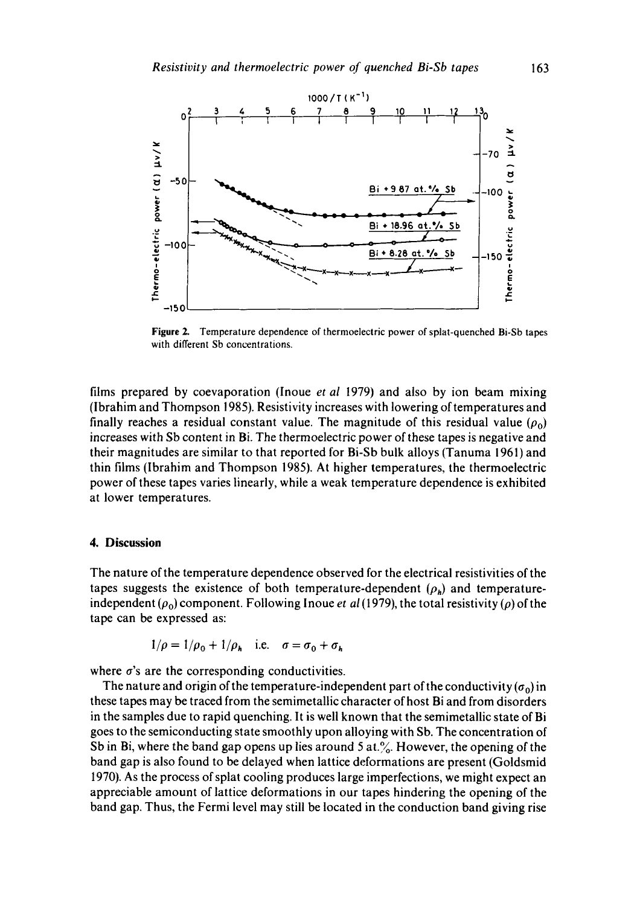

Figure 2. Temperature dependence of thermoelectric power of splat-quenched Bi-Sb tapes with different Sb concentrations.

films prepared by coevaporation (Inoue *et al* 1979) and also by ion beam mixing (lbrahim and Thompson 1985). Resistivity increases with lowering of temperatures and finally reaches a residual constant value. The magnitude of this residual value  $(\rho_0)$ increases with Sb content in Bi. The thermoelectric power of these tapes is negative and their magnitudes are similar to that reported for Bi-Sb bulk alloys (Tanuma 1961) and thin films (Ibrahim and Thompson 1985). At higher temperatures, the thermoelectric power of these tapes varies linearly, while a weak temperature dependence is exhibited at lower temperatures.

### **4. Discussion**

The nature of the temperature dependence observed for the electrical resistivities of the tapes suggests the existence of both temperature-dependent  $(\rho_h)$  and temperatureindependent  $(\rho_0)$  component. Following Inoue *et al* (1979), the total resistivity ( $\rho$ ) of the tape can be expressed as:

$$
1/\rho = 1/\rho_0 + 1/\rho_h \quad \text{i.e.} \quad \sigma = \sigma_0 + \sigma_h
$$

where  $\sigma$ 's are the corresponding conductivities.

The nature and origin of the temperature-independent part of the conductivity  $(\sigma_0)$  in these tapes may be traced from the semimetallic character of host Bi and from disorders in the samples due to rapid quenching. It is well known that the semimetallic state of Bi goes to the semiconducting state smoothly upon alloying with Sb. The concentration of Sb in Bi, where the band gap opens up lies around 5 at. $\%$ . However, the opening of the band gap is also found to be delayed when lattice deformations are present (Goldsmid 1970). As the process of splat cooling produces large imperfections, we might expect an appreciable amount of lattice deformations in our tapes hindering the opening of the band gap. Thus, the Fermi level may still be located in the conduction band giving rise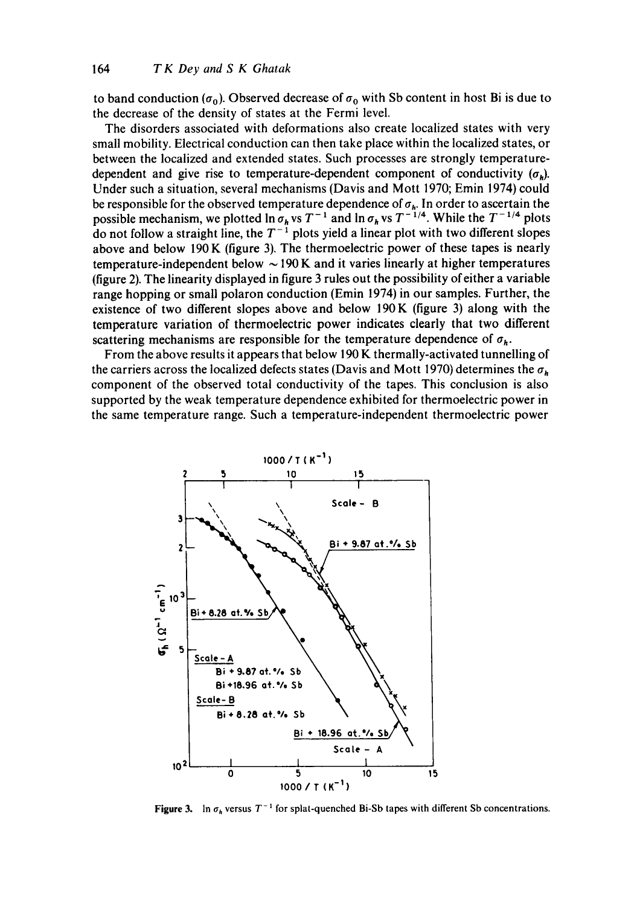to band conduction  $(\sigma_0)$ . Observed decrease of  $\sigma_0$  with Sb content in host Bi is due to the decrease of the density of states at the Fermi level.

The disorders associated with deformations also create localized states with very small mobility. Electrical conduction can then take place within the localized states, or between the localized and extended states. Such processes are strongly temperaturedependent and give rise to temperature-dependent component of conductivity  $(\sigma_{\mu})$ . Under such a situation, several mechanisms (Davis and Mott 1970; Emin 1974) could be responsible for the observed temperature dependence of  $\sigma_h$ . In order to ascertain the possible mechanism, we plotted  $\ln \sigma_h$  vs  $T^{-1}$  and  $\ln \sigma_h$  vs  $T^{-1/4}$ . While the  $T^{-1/4}$  plots do not follow a straight line, the  $T^{-1}$  plots yield a linear plot with two different slopes above and below 190 K (figure 3). The thermoelectric power of these tapes is nearly temperature-independent below  $\sim$  190 K and it varies linearly at higher temperatures (figure 2). The linearity displayed in figure 3 rules out the possibility of either a variable range hopping or small polaron conduction (Emin 1974) in our samples. Further, the existence of two different slopes above and below 190K (figure 3) along with the temperature variation of thermoelectric power indicates clearly that two different scattering mechanisms are responsible for the temperature dependence of  $\sigma_h$ .

From the above results it appears that below 190 K thermally-activated tunnelling of the carriers across the localized defects states (Davis and Mott 1970) determines the  $\sigma_h$ component of the observed total conductivity of the tapes. This conclusion is also supported by the weak temperature dependence exhibited for thermoelectric power in the same temperature range. Such a temperature-independent thermoelectric power



Figure 3. In  $\sigma_h$  versus  $T^{-1}$  for splat-quenched Bi-Sb tapes with different Sb concentrations.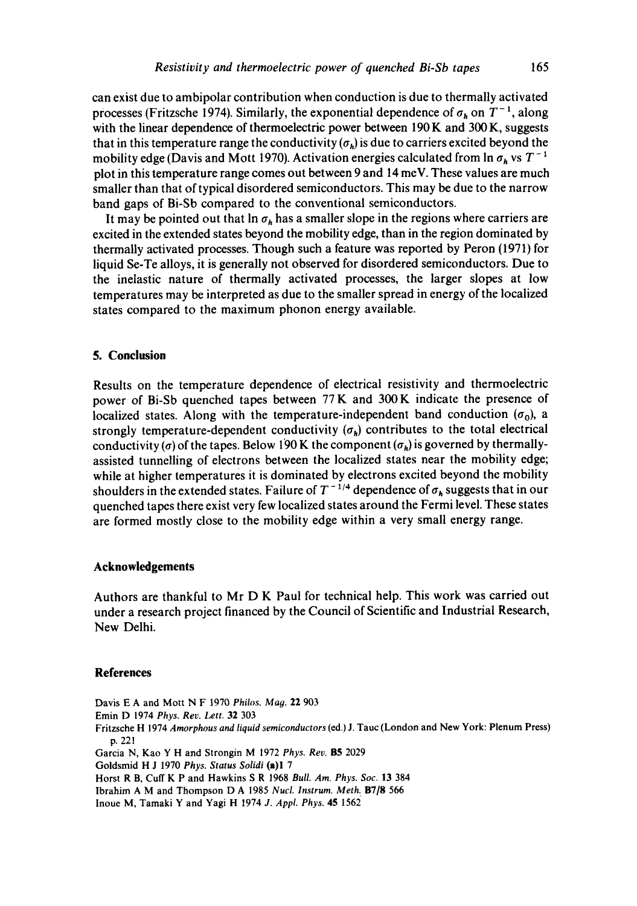can exist due to ambipolar contribution when conduction is due to thermally activated processes (Fritzsche 1974). Similarly, the exponential dependence of  $\sigma_h$  on  $T^{-1}$ , along with the linear dependence of thermoelectric power between 190 K and 300 K, suggests that in this temperature range the conductivity  $(\sigma_h)$  is due to carriers excited beyond the mobility edge (Davis and Mott 1970). Activation energies calculated from  $\ln \sigma_h$  vs  $T^{-1}$ plot in this temperature range comes out between 9 and 14 meV. These values are much smaller than that of typical disordered semiconductors. This may be due to the narrow band gaps of Bi-Sb compared to the conventional semiconductors.

It may be pointed out that  $\ln \sigma_h$  has a smaller slope in the regions where carriers are excited in the extended states beyond the mobility edge, than in the region dominated by thermally activated processes. Though such a feature was reported by Peron (1971) for liquid Se-Te alloys, it is generally not observed for disordered semiconductors. Due to the inelastic nature of thermally activated processes, the larger slopes at low temperatures may be interpreted as due to the smaller spread in energy of the localized states compared to the maximum phonon energy available.

## **5. Conclusion**

Results on the temperature dependence of electrical resistivity and thermoelectric power of Bi-Sb quenched tapes between 77 K and 300K indicate the presence of localized states. Along with the temperature-independent band conduction  $(\sigma_0)$ , a strongly temperature-dependent conductivity  $(\sigma_h)$  contributes to the total electrical conductivity ( $\sigma$ ) of the tapes. Below 190 K the component ( $\sigma_h$ ) is governed by thermallyassisted tunnelling of electrons between the localized states near the mobility edge; while at higher temperatures it is dominated by electrons excited beyond the mobility shoulders in the extended states. Failure of  $T^{-1/4}$  dependence of  $\sigma_h$  suggests that in our quenched tapes there exist very few localized states around the Fermi level. These states are formed mostly close to the mobility edge within a very small energy range.

#### **Acknowledgements**

Authors are thankful to Mr D K Paul for technical help. This work was carried out under a research project financed by the Council of Scientific and Industrial Research, New Delhi.

#### **References**

Davis E A and Mott N F 1970 *Philos. Mag.* 22 903 Emin D 1974 *Phys. Rev. Lett.* 32 303 Fritzsche H 1974 *Amorphous and liquid semiconductors* (ed.) J. Tauc (London and New York: Plenum Press) p. 221 Garcia N, Kao Y H and Strongin M 1972 *Phys. Rev.* B5 2029 Goldsmid H J 1970 *Phys. Status Solidi* (a)l 7 Horst R B, Cuff K P and Hawkins S R 1968 *Bull. Am. Phys. Soc.* 13 384 Ibrahim A M and Thompson D A 1985 *Nucl. Instrum. Meth:* B718 566 Inoue M, Tamaki Y and Yagi H 1974 *J. Appl. Phys.* 45 1562